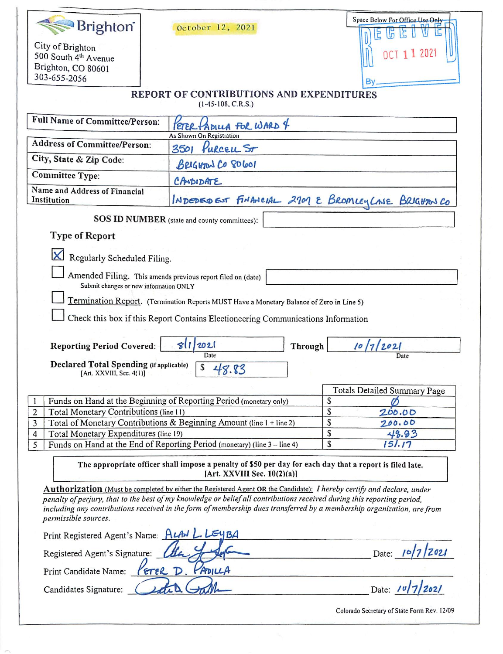| Brighton <sup>®</sup>                                                                                                                      | October 12, 2021                                                                                                              | Space Below For Office Use Only             |  |  |  |  |
|--------------------------------------------------------------------------------------------------------------------------------------------|-------------------------------------------------------------------------------------------------------------------------------|---------------------------------------------|--|--|--|--|
| City of Brighton<br>500 South 4th Avenue<br>Brighton, CO 80601                                                                             |                                                                                                                               | 1 202                                       |  |  |  |  |
| 303-655-2056                                                                                                                               |                                                                                                                               | B٧                                          |  |  |  |  |
| REPORT OF CONTRIBUTIONS AND EXPENDITURES<br>$(1-45-108, C.R.S.)$                                                                           |                                                                                                                               |                                             |  |  |  |  |
| Full Name of Committee/Person:                                                                                                             | HADILLA FOR WARD 4<br>As Shown On Registration                                                                                |                                             |  |  |  |  |
| <b>Address of Committee/Person:</b>                                                                                                        | 3501 Purceu St                                                                                                                |                                             |  |  |  |  |
| City, State & Zip Code:                                                                                                                    | BRIGHTON CO 80601                                                                                                             |                                             |  |  |  |  |
| <b>Committee Type:</b>                                                                                                                     | CANDIDATE                                                                                                                     |                                             |  |  |  |  |
| Name and Address of Financial<br>Institution                                                                                               | INDEDED EST FINANCIAL 2701 E BROMLEY CASE BRIGHTON CO                                                                         |                                             |  |  |  |  |
| SOS ID NUMBER (state and county committees):                                                                                               |                                                                                                                               |                                             |  |  |  |  |
| <b>Type of Report</b>                                                                                                                      |                                                                                                                               |                                             |  |  |  |  |
| Regularly Scheduled Filing.                                                                                                                |                                                                                                                               |                                             |  |  |  |  |
| Amended Filing. This amends previous report filed on (date)                                                                                |                                                                                                                               |                                             |  |  |  |  |
| Submit changes or new information ONLY                                                                                                     |                                                                                                                               |                                             |  |  |  |  |
|                                                                                                                                            | Termination Report. (Termination Reports MUST Have a Monetary Balance of Zero in Line 5)                                      |                                             |  |  |  |  |
|                                                                                                                                            | Check this box if this Report Contains Electioneering Communications Information                                              |                                             |  |  |  |  |
|                                                                                                                                            |                                                                                                                               |                                             |  |  |  |  |
| <b>Reporting Period Covered:</b>                                                                                                           | 2021<br>811<br><b>Through</b>                                                                                                 | 10/7/2021                                   |  |  |  |  |
| <b>Declared Total Spending (if applicable)</b>                                                                                             | Date                                                                                                                          | Date                                        |  |  |  |  |
| [Art. XXVIII, Sec. 4(1)]                                                                                                                   | \$<br>48.83                                                                                                                   |                                             |  |  |  |  |
|                                                                                                                                            |                                                                                                                               | <b>Totals Detailed Summary Page</b>         |  |  |  |  |
|                                                                                                                                            | Funds on Hand at the Beginning of Reporting Period (monetary only)                                                            | S                                           |  |  |  |  |
| 2<br>Total Monetary Contributions (line 11)                                                                                                |                                                                                                                               | \$<br>200.00                                |  |  |  |  |
| 3<br>Total of Monetary Contributions & Beginning Amount (line 1 + line 2)                                                                  |                                                                                                                               | \$<br>200.00                                |  |  |  |  |
| Total Monetary Expenditures (line 19)<br>$\overline{4}$                                                                                    |                                                                                                                               | S<br>48.93<br>S<br>151.17                   |  |  |  |  |
|                                                                                                                                            | Funds on Hand at the End of Reporting Period (monetary) (line 3 - line 4)<br>5                                                |                                             |  |  |  |  |
| The appropriate officer shall impose a penalty of \$50 per day for each day that a report is filed late.<br>[Art. XXVIII Sec. $10(2)(a)$ ] |                                                                                                                               |                                             |  |  |  |  |
|                                                                                                                                            | <b>Authorization</b> (Must be completed by either the Registered Agent OR the Candidate): I hereby certify and declare, under |                                             |  |  |  |  |
|                                                                                                                                            | penalty of perjury, that to the best of my knowledge or belief all contributions received during this reporting period,       |                                             |  |  |  |  |
| permissible sources.                                                                                                                       | including any contributions received in the form of membership dues transferred by a membership organization, are from        |                                             |  |  |  |  |
| Print Registered Agent's Name: ALAN L. LEYBA                                                                                               |                                                                                                                               |                                             |  |  |  |  |
| Registered Agent's Signature:<br>Date: $/$                                                                                                 |                                                                                                                               |                                             |  |  |  |  |
| PADILLA<br>Print Candidate Name:<br>PETER D.                                                                                               |                                                                                                                               |                                             |  |  |  |  |
| Candidates Signature:                                                                                                                      |                                                                                                                               | Date: $\ell$                                |  |  |  |  |
|                                                                                                                                            |                                                                                                                               | Colorado Secretary of State Form Rev. 12/09 |  |  |  |  |

 $\Lambda_{\rm e}$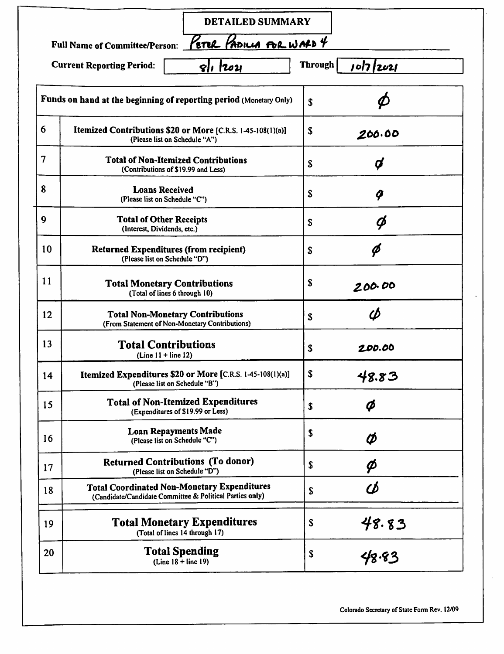|                |                                                                                                                | <b>DETAILED SUMMARY</b>                                            |                             |  |
|----------------|----------------------------------------------------------------------------------------------------------------|--------------------------------------------------------------------|-----------------------------|--|
|                | <b>Full Name of Committee/Person:</b>                                                                          | ETER PADILLA FOR WALD 4                                            |                             |  |
|                | <b>Current Reporting Period:</b>                                                                               | 811 12021                                                          | <b>Through</b><br>10/7/2021 |  |
|                |                                                                                                                | Funds on hand at the beginning of reporting period (Monetary Only) | \$                          |  |
| 6              | Itemized Contributions \$20 or More [C.R.S. 1-45-108(1)(a)]<br>(Please list on Schedule "A")                   |                                                                    | \$<br>200.00                |  |
| $\overline{7}$ | <b>Total of Non-Itemized Contributions</b><br>(Contributions of \$19.99 and Less)                              |                                                                    | Ø<br>\$                     |  |
| 8              | <b>Loans Received</b><br>(Please list on Schedule "C")                                                         |                                                                    | \$<br>q                     |  |
| 9              | <b>Total of Other Receipts</b><br>(Interest, Dividends, etc.)                                                  |                                                                    | Ø<br>\$                     |  |
| 10             | <b>Returned Expenditures (from recipient)</b><br>(Please list on Schedule "D")                                 |                                                                    | Ø<br>\$                     |  |
| 11             | <b>Total Monetary Contributions</b><br>(Total of lines 6 through 10)                                           |                                                                    | \$<br>200.00                |  |
| 12             | <b>Total Non-Monetary Contributions</b><br>(From Statement of Non-Monetary Contributions)                      |                                                                    | Φ<br>S                      |  |
| 13             | <b>Total Contributions</b><br>$(Line 11 + line 12)$                                                            |                                                                    | S<br>200.00                 |  |
| 14             | Itemized Expenditures \$20 or More [C.R.S. 1-45-108(1)(a)]<br>(Please list on Schedule "B")                    |                                                                    | \$<br>48.83                 |  |
| 15             | <b>Total of Non-Itemized Expenditures</b><br>(Expenditures of \$19.99 or Less)                                 |                                                                    | Ø<br>\$                     |  |
| 16             | <b>Loan Repayments Made</b><br>(Please list on Schedule "C")                                                   |                                                                    | S<br>Ø                      |  |
| 17             | <b>Returned Contributions (To donor)</b><br>(Please list on Schedule "D")                                      |                                                                    | S<br>Ø                      |  |
| 18             | <b>Total Coordinated Non-Monetary Expenditures</b><br>(Candidate/Candidate Committee & Political Parties only) |                                                                    | Φ<br>\$                     |  |
| 19             | <b>Total Monetary Expenditures</b><br>(Total of lines 14 through 17)                                           |                                                                    | 48.83<br>S                  |  |
| 20             | <b>Total Spending</b><br>$(Line 18 + line 19)$                                                                 |                                                                    | \$<br>48.83                 |  |

Colorado Secretary of State Form Rev. 12/09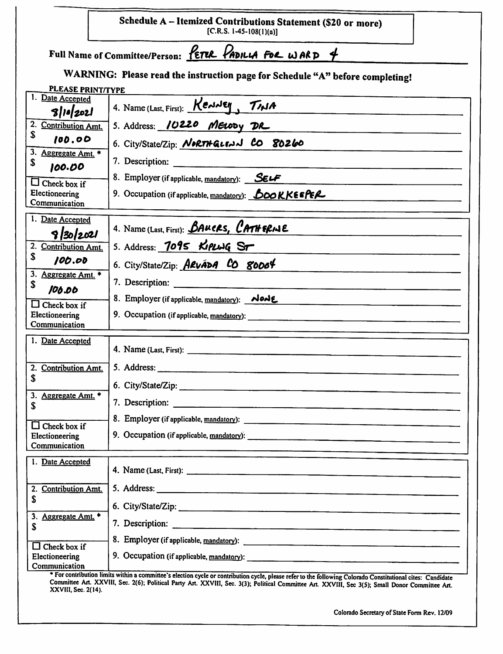|                                              | Schedule A - Itemized Contributions Statement (\$20 or more)<br>[C.R.S. 1-45-108(1)(a)]                                                                     |
|----------------------------------------------|-------------------------------------------------------------------------------------------------------------------------------------------------------------|
|                                              | Full Name of Committee/Person: $\frac{\sqrt{\epsilon}}{R}$ PADILLA FOR WARD 4                                                                               |
|                                              | WARNING: Please read the instruction page for Schedule "A" before completing!                                                                               |
| <b>PLEASE PRINT/TYPE</b><br>1. Date Accepted |                                                                                                                                                             |
| 3 10 202                                     | 4. Name (Last, First): KenNEY, TINA                                                                                                                         |
| 2.<br>Contribution Amt.<br>S                 | 5. Address: 10220 MELODY DR                                                                                                                                 |
| 100.00<br>3.                                 | 6. City/State/Zip: <i>NORTH GLENN</i> CO 80260                                                                                                              |
| Aggregate Amt. *<br>\$<br>100.00             | 7. Description:                                                                                                                                             |
| $\Box$ Check box if                          | 8. Employer (if applicable, mandatory): SELF                                                                                                                |
| Electioneering<br>Communication              | 9. Occupation (if applicable, $\mathbf{m}$ and atory): $\mathbf{E}$ OO KKEEPER                                                                              |
| 1. Date Accepted<br>9/30/2021                | 4. Name (Last, First): <i>BAUCRS, CATHERINE</i>                                                                                                             |
| 2. Contribution Amt.                         | 5. Address: 7095 KIPLUG ST                                                                                                                                  |
| \$<br>100.00                                 | 6. City/State/Zip: ARvADA CO 80004                                                                                                                          |
| 3. Aggregate Amt. *<br>\$                    | 7. Description:                                                                                                                                             |
| 106.00<br>$\Box$ Check box if                | 8. Employer (if applicable, mandatory): Nowe                                                                                                                |
| Electioneering<br>Communication              |                                                                                                                                                             |
| 1. Date Accepted                             |                                                                                                                                                             |
|                                              |                                                                                                                                                             |
| 2. Contribution Amt.<br>\$                   | 5. Address:                                                                                                                                                 |
| 3. Aggregate Amt. *                          | 6. City/State/Zip:                                                                                                                                          |
| \$                                           |                                                                                                                                                             |
| $\Box$ Check box if                          |                                                                                                                                                             |
| Electioneering<br>Communication              |                                                                                                                                                             |
| 1. Date Accepted                             |                                                                                                                                                             |
|                                              |                                                                                                                                                             |
| 2. Contribution Amt.<br>S                    |                                                                                                                                                             |
| 3. Aggregate Amt. *                          |                                                                                                                                                             |
| \$                                           |                                                                                                                                                             |
| $\Box$ Check box if                          |                                                                                                                                                             |
| Electioneering<br>Communication              |                                                                                                                                                             |
|                                              | * For contribution limits within a committee's election cycle or contribution cycle, please refer to the following Colorado Constitutional cites: Candidate |

Committee Art. XXVIII, Sec. 2(6); Political Party Art. XXVIII, Sec. 3(3); Political Committee Art. XXVIII, Sec 3(5); Small Donor Committee Art<br>XXVIII, Sec. 2(14).